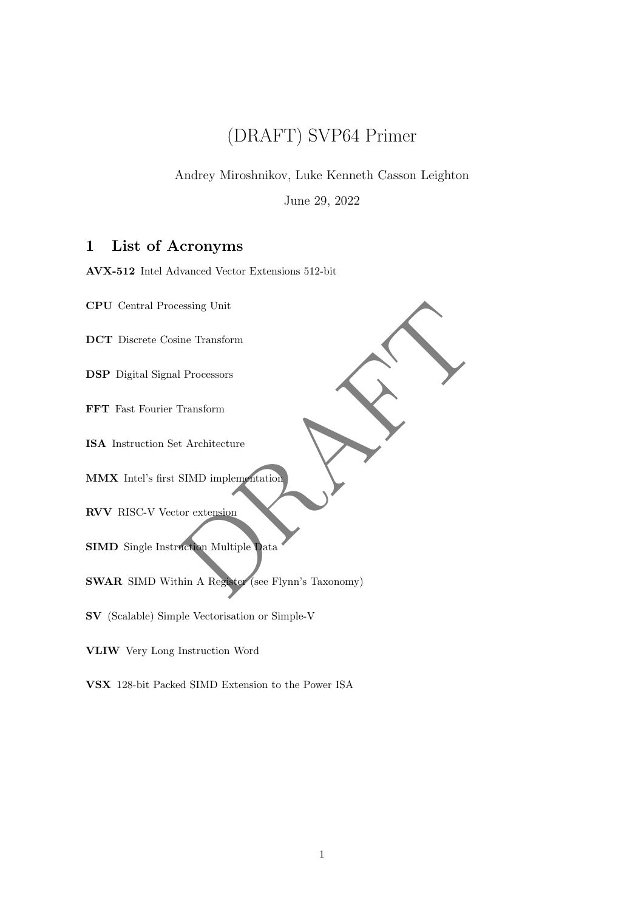# (DRAFT) SVP64 Primer

Andrey Miroshnikov, Luke Kenneth Casson Leighton

June 29, 2022

# 1 List of Acronyms

AVX-512 Intel Advanced Vector Extensions 512-bit

CPU Central Processing Unit

DCT Discrete Cosine Transform

DSP Digital Signal Processors

FFT Fast Fourier Transform

ISA Instruction Set Architecture

MMX Intel's first SIMD implementation

RVV RISC-V Vector extension

SIMD Single Instruction Multiple Data

essing Unit<br>
II Processors<br>
IT ansform<br>
t Architecture<br>
SIMD implementation<br>
or extension<br>
or extension<br>
to the Multiple Data<br>
thin A Registe<br>
(see Flynn's Taxonomy) SWAR SIMD Within A Register (see Flynn's Taxonomy)

SV (Scalable) Simple Vectorisation or Simple-V

VLIW Very Long Instruction Word

VSX 128-bit Packed SIMD Extension to the Power ISA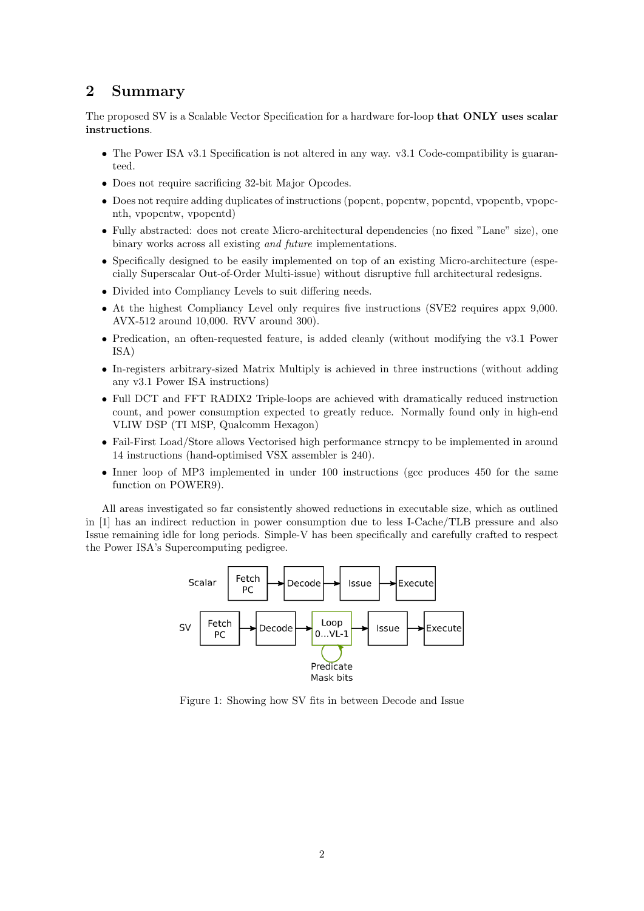## 2 Summary

The proposed SV is a Scalable Vector Specification for a hardware for-loop that ONLY uses scalar instructions.

- The Power ISA v3.1 Specification is not altered in any way. v3.1 Code-compatibility is guaranteed.
- Does not require sacrificing 32-bit Major Opcodes.
- Does not require adding duplicates of instructions (popcnt, popcntw, popcntd, vpopcntb, vpopcnth, vpopcntw, vpopcntd)
- Fully abstracted: does not create Micro-architectural dependencies (no fixed "Lane" size), one binary works across all existing and future implementations.
- Specifically designed to be easily implemented on top of an existing Micro-architecture (especially Superscalar Out-of-Order Multi-issue) without disruptive full architectural redesigns.
- Divided into Compliancy Levels to suit differing needs.
- At the highest Compliancy Level only requires five instructions (SVE2 requires appx 9,000. AVX-512 around 10,000. RVV around 300).
- Predication, an often-requested feature, is added cleanly (without modifying the v3.1 Power ISA)
- In-registers arbitrary-sized Matrix Multiply is achieved in three instructions (without adding any v3.1 Power ISA instructions)
- Full DCT and FFT RADIX2 Triple-loops are achieved with dramatically reduced instruction count, and power consumption expected to greatly reduce. Normally found only in high-end VLIW DSP (TI MSP, Qualcomm Hexagon)
- Fail-First Load/Store allows Vectorised high performance strncpy to be implemented in around 14 instructions (hand-optimised VSX assembler is 240).
- Inner loop of MP3 implemented in under 100 instructions (gcc produces 450 for the same function on POWER9).

All areas investigated so far consistently showed reductions in executable size, which as outlined in [1] has an indirect reduction in power consumption due to less I-Cache/TLB pressure and also Issue remaining idle for long periods. Simple-V has been specifically and carefully crafted to respect the Power ISA's Supercomputing pedigree.



Figure 1: Showing how SV fits in between Decode and Issue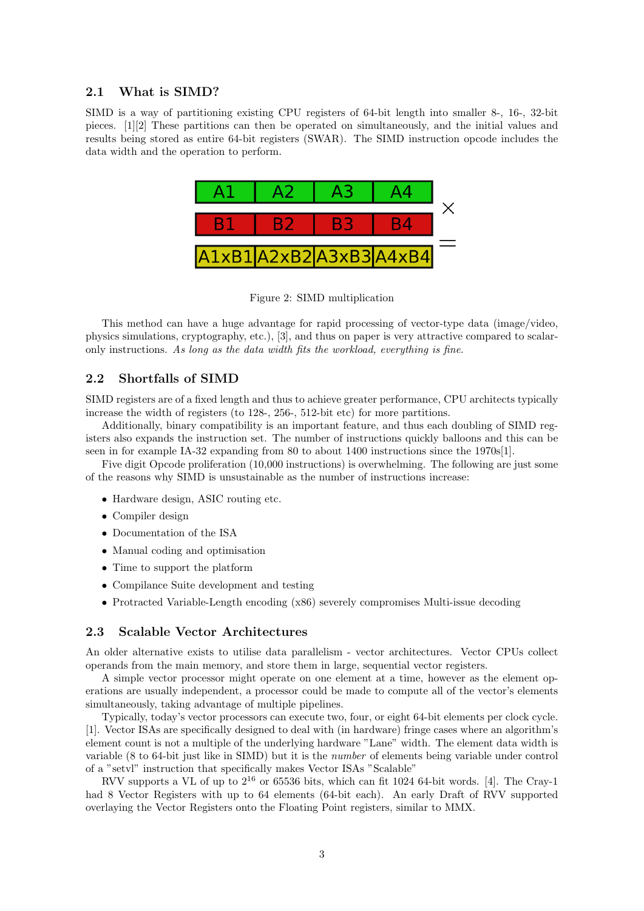#### 2.1 What is SIMD?

SIMD is a way of partitioning existing CPU registers of 64-bit length into smaller 8-, 16-, 32-bit pieces. [1][2] These partitions can then be operated on simultaneously, and the initial values and results being stored as entire 64-bit registers (SWAR). The SIMD instruction opcode includes the data width and the operation to perform.



Figure 2: SIMD multiplication

This method can have a huge advantage for rapid processing of vector-type data (image/video, physics simulations, cryptography, etc.), [3], and thus on paper is very attractive compared to scalaronly instructions. As long as the data width fits the workload, everything is fine.

#### 2.2 Shortfalls of SIMD

SIMD registers are of a fixed length and thus to achieve greater performance, CPU architects typically increase the width of registers (to 128-, 256-, 512-bit etc) for more partitions.

Additionally, binary compatibility is an important feature, and thus each doubling of SIMD registers also expands the instruction set. The number of instructions quickly balloons and this can be seen in for example IA-32 expanding from 80 to about 1400 instructions since the 1970s[1].

Five digit Opcode proliferation (10,000 instructions) is overwhelming. The following are just some of the reasons why SIMD is unsustainable as the number of instructions increase:

- Hardware design, ASIC routing etc.
- Compiler design
- Documentation of the ISA
- Manual coding and optimisation
- Time to support the platform
- Compilance Suite development and testing
- Protracted Variable-Length encoding (x86) severely compromises Multi-issue decoding

#### 2.3 Scalable Vector Architectures

An older alternative exists to utilise data parallelism - vector architectures. Vector CPUs collect operands from the main memory, and store them in large, sequential vector registers.

A simple vector processor might operate on one element at a time, however as the element operations are usually independent, a processor could be made to compute all of the vector's elements simultaneously, taking advantage of multiple pipelines.

Typically, today's vector processors can execute two, four, or eight 64-bit elements per clock cycle. [1]. Vector ISAs are specifically designed to deal with (in hardware) fringe cases where an algorithm's element count is not a multiple of the underlying hardware "Lane" width. The element data width is variable (8 to 64-bit just like in SIMD) but it is the number of elements being variable under control of a "setvl" instruction that specifically makes Vector ISAs "Scalable"

RVV supports a VL of up to  $2^{16}$  or 65536 bits, which can fit 1024 64-bit words. [4]. The Cray-1 had 8 Vector Registers with up to 64 elements (64-bit each). An early Draft of RVV supported overlaying the Vector Registers onto the Floating Point registers, similar to MMX.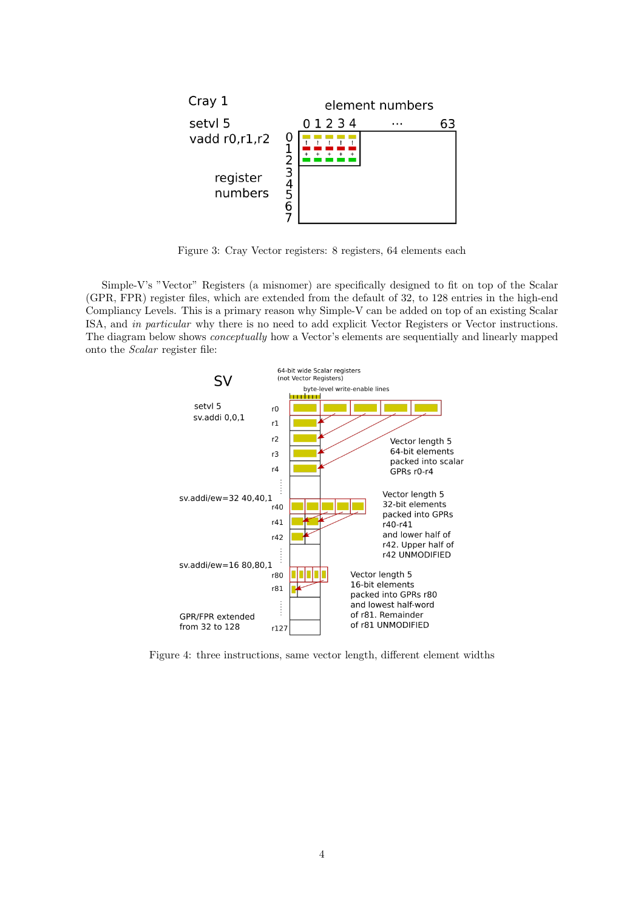

Figure 3: Cray Vector registers: 8 registers, 64 elements each

Simple-V's "Vector" Registers (a misnomer) are specifically designed to fit on top of the Scalar (GPR, FPR) register files, which are extended from the default of 32, to 128 entries in the high-end Compliancy Levels. This is a primary reason why Simple-V can be added on top of an existing Scalar ISA, and in particular why there is no need to add explicit Vector Registers or Vector instructions. The diagram below shows conceptually how a Vector's elements are sequentially and linearly mapped onto the Scalar register file:



Figure 4: three instructions, same vector length, different element widths